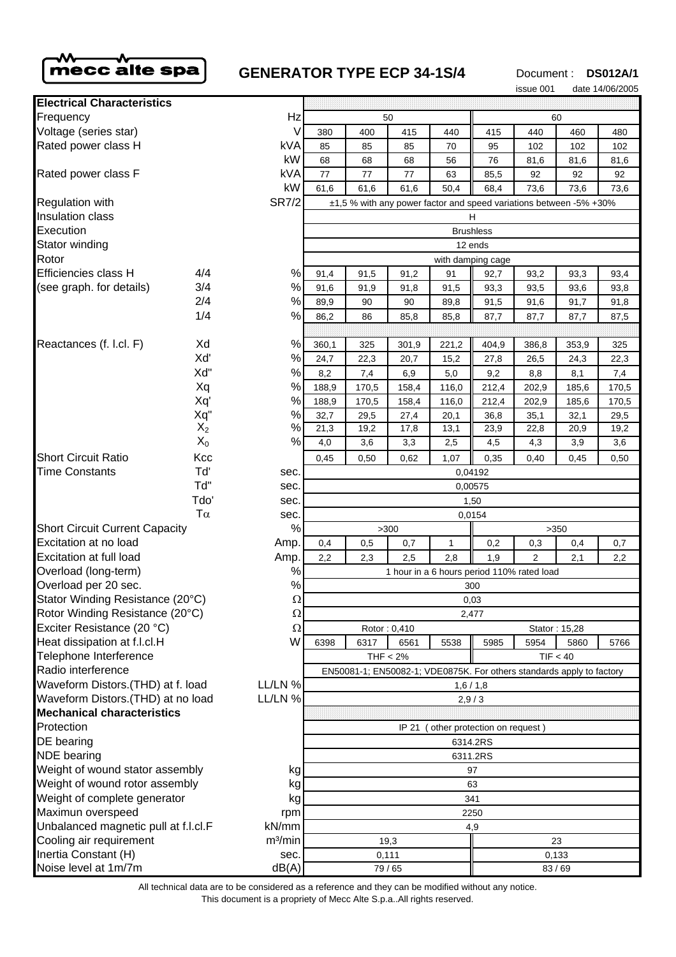

# **GENERATOR TYPE ECP 34-1S/4**

Document : **DS012A/1**

|                                              |       |                                                                       |                                            |       |       |                               |       | issue 001      |                                                                    | date 14/06/2005 |
|----------------------------------------------|-------|-----------------------------------------------------------------------|--------------------------------------------|-------|-------|-------------------------------|-------|----------------|--------------------------------------------------------------------|-----------------|
| <b>Electrical Characteristics</b>            |       |                                                                       |                                            |       |       |                               |       |                |                                                                    |                 |
| Frequency                                    |       | Hz                                                                    | 50                                         |       |       |                               | 60    |                |                                                                    |                 |
| Voltage (series star)                        |       | $\vee$                                                                | 380                                        | 400   | 415   | 440                           | 415   | 440            | 460                                                                | 480             |
| Rated power class H                          |       | kVA                                                                   | 85                                         | 85    | 85    | 70                            | 95    | 102            | 102                                                                | 102             |
|                                              |       | kW                                                                    | 68                                         | 68    | 68    | 56                            | 76    | 81,6           | 81,6                                                               | 81,6            |
| Rated power class F                          |       | kVA                                                                   | 77                                         | 77    | 77    | 63                            | 85,5  | 92             | 92                                                                 | 92              |
|                                              |       | kW                                                                    | 61,6                                       | 61,6  | 61,6  | 50,4                          | 68,4  | 73,6           | 73,6                                                               | 73,6            |
| <b>Regulation with</b>                       |       | <b>SR7/2</b>                                                          |                                            |       |       |                               |       |                | ±1,5 % with any power factor and speed variations between -5% +30% |                 |
| <b>Insulation class</b>                      |       |                                                                       |                                            |       |       |                               | н     |                |                                                                    |                 |
| Execution                                    |       | <b>Brushless</b>                                                      |                                            |       |       |                               |       |                |                                                                    |                 |
| Stator winding                               |       |                                                                       | 12 ends                                    |       |       |                               |       |                |                                                                    |                 |
| Rotor                                        |       |                                                                       | with damping cage                          |       |       |                               |       |                |                                                                    |                 |
| Efficiencies class H                         | 4/4   | %                                                                     | 91,4                                       | 91,5  | 91,2  | 91                            | 92,7  | 93,2           | 93,3                                                               | 93,4            |
| (see graph. for details)                     | 3/4   | %                                                                     | 91,6                                       | 91,9  | 91,8  | 91,5                          | 93,3  | 93,5           | 93,6                                                               | 93,8            |
|                                              | 2/4   | %                                                                     | 89,9                                       | 90    | 90    | 89,8                          | 91,5  | 91,6           | 91,7                                                               | 91,8            |
|                                              | 1/4   | %                                                                     | 86,2                                       | 86    | 85,8  | 85,8                          | 87,7  | 87,7           | 87,7                                                               | 87,5            |
|                                              |       |                                                                       |                                            |       |       |                               |       |                |                                                                    |                 |
| Reactances (f. l.cl. F)                      | Xd    | %                                                                     | 360,1                                      | 325   | 301,9 | 221,2                         | 404,9 | 386,8          | 353,9                                                              | 325             |
|                                              | Xď    | %                                                                     | 24,7                                       | 22,3  | 20,7  | 15,2                          | 27,8  | 26,5           | 24,3                                                               | 22,3            |
|                                              | Xd"   | $\%$                                                                  | 8,2                                        | 7,4   | 6,9   | 5,0                           | 9,2   | 8,8            | 8,1                                                                | 7,4             |
|                                              | Xq    | %                                                                     | 188,9                                      | 170,5 | 158,4 | 116,0                         | 212,4 | 202,9          | 185,6                                                              | 170,5           |
|                                              | Xq'   | %                                                                     | 188,9                                      | 170,5 | 158,4 | 116,0                         | 212,4 | 202,9          | 185,6                                                              | 170,5           |
|                                              | Xq"   | $\%$                                                                  | 32,7                                       | 29,5  | 27,4  | 20,1                          | 36,8  | 35,1           | 32,1                                                               | 29,5            |
|                                              | $X_2$ | %                                                                     | 21,3                                       | 19,2  | 17,8  | 13,1                          | 23,9  | 22,8           | 20,9                                                               | 19,2            |
|                                              | $X_0$ | %                                                                     | 4,0                                        | 3,6   | 3,3   | 2,5                           | 4,5   | 4,3            | 3,9                                                                | 3,6             |
| <b>Short Circuit Ratio</b>                   | Kcc   |                                                                       | 0,45                                       | 0,50  | 0,62  | 1,07                          | 0,35  | 0,40           | 0,45                                                               | 0,50            |
| <b>Time Constants</b>                        | Tď    | sec.                                                                  | 0,04192                                    |       |       |                               |       |                |                                                                    |                 |
|                                              | Td"   | sec.                                                                  | 0,00575                                    |       |       |                               |       |                |                                                                    |                 |
|                                              | Tdo'  | sec.                                                                  | 1,50                                       |       |       |                               |       |                |                                                                    |                 |
| $T\alpha$                                    |       | sec.                                                                  | 0,0154                                     |       |       |                               |       |                |                                                                    |                 |
| <b>Short Circuit Current Capacity</b>        |       | %                                                                     | >300<br>>350                               |       |       |                               |       |                |                                                                    |                 |
| Excitation at no load                        |       | Amp.                                                                  | 0,4                                        | 0,5   | 0,7   | 1                             | 0,2   | 0,3            | 0,4                                                                | 0,7             |
| <b>Excitation at full load</b>               |       | Amp.                                                                  | 2,2                                        | 2,3   | 2,5   | 2,8                           | 1,9   | $\overline{2}$ | 2,1                                                                | 2,2             |
| Overload (long-term)                         |       | $\%$                                                                  | 1 hour in a 6 hours period 110% rated load |       |       |                               |       |                |                                                                    |                 |
| Overload per 20 sec.                         |       | $\%$                                                                  | 300                                        |       |       |                               |       |                |                                                                    |                 |
| Stator Winding Resistance (20°C)             |       | Ω                                                                     | 0,03                                       |       |       |                               |       |                |                                                                    |                 |
| Rotor Winding Resistance (20°C)              |       | Ω                                                                     | 2,477                                      |       |       |                               |       |                |                                                                    |                 |
| Exciter Resistance (20 °C)                   |       | Ω                                                                     | Rotor: 0,410<br>Stator: 15,28              |       |       |                               |       |                |                                                                    |                 |
| Heat dissipation at f.l.cl.H                 |       | W                                                                     | 6398                                       | 6317  | 6561  | 5538                          | 5985  | 5954           | 5860                                                               | 5766            |
| Telephone Interference                       |       |                                                                       | THF < 2%<br>TIF < 40                       |       |       |                               |       |                |                                                                    |                 |
| Radio interference                           |       | EN50081-1; EN50082-1; VDE0875K. For others standards apply to factory |                                            |       |       |                               |       |                |                                                                    |                 |
| Waveform Distors.(THD) at f. load<br>LL/LN % |       | 1,6/1,8                                                               |                                            |       |       |                               |       |                |                                                                    |                 |
| Waveform Distors.(THD) at no load<br>LL/LN % |       | 2,9/3                                                                 |                                            |       |       |                               |       |                |                                                                    |                 |
| <b>Mechanical characteristics</b>            |       |                                                                       |                                            |       |       |                               |       |                |                                                                    |                 |
| Protection                                   |       |                                                                       |                                            |       | IP 21 | (other protection on request) |       |                |                                                                    |                 |
| DE bearing                                   |       |                                                                       | 6314.2RS                                   |       |       |                               |       |                |                                                                    |                 |
| <b>NDE</b> bearing                           |       | 6311.2RS                                                              |                                            |       |       |                               |       |                |                                                                    |                 |
| Weight of wound stator assembly<br>kg        |       | 97                                                                    |                                            |       |       |                               |       |                |                                                                    |                 |
| Weight of wound rotor assembly               |       | kg                                                                    | 63                                         |       |       |                               |       |                |                                                                    |                 |
| Weight of complete generator                 |       | kg                                                                    | 341                                        |       |       |                               |       |                |                                                                    |                 |
| Maximun overspeed                            |       | rpm                                                                   | 2250                                       |       |       |                               |       |                |                                                                    |                 |
| Unbalanced magnetic pull at f.l.cl.F         |       | kN/mm                                                                 | 4,9                                        |       |       |                               |       |                |                                                                    |                 |
| Cooling air requirement                      |       | m <sup>3</sup> /min                                                   | 19,3<br>23                                 |       |       |                               |       |                |                                                                    |                 |
| Inertia Constant (H)                         |       | sec.                                                                  | 0,111                                      |       |       | 0,133                         |       |                |                                                                    |                 |
| Noise level at 1m/7m                         |       | dB(A)                                                                 | 79 / 65                                    |       |       |                               | 83/69 |                |                                                                    |                 |

All technical data are to be considered as a reference and they can be modified without any notice.

This document is a propriety of Mecc Alte S.p.a..All rights reserved.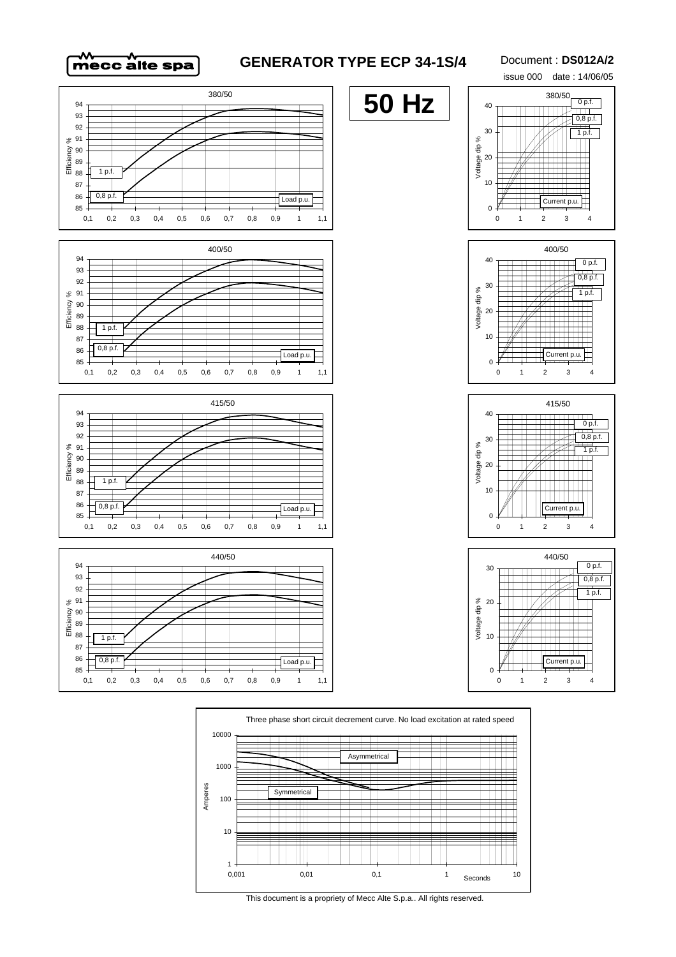

## **GENERATOR TYPE ECP 34-1S/4**

#### Document : **DS012A/2**

issue 000 date : 14/06/05





100

**Symmetrica** 

 $\Box$ ╈╈



 $\blacksquare$ 

╈╈╈╈

┯┷

TM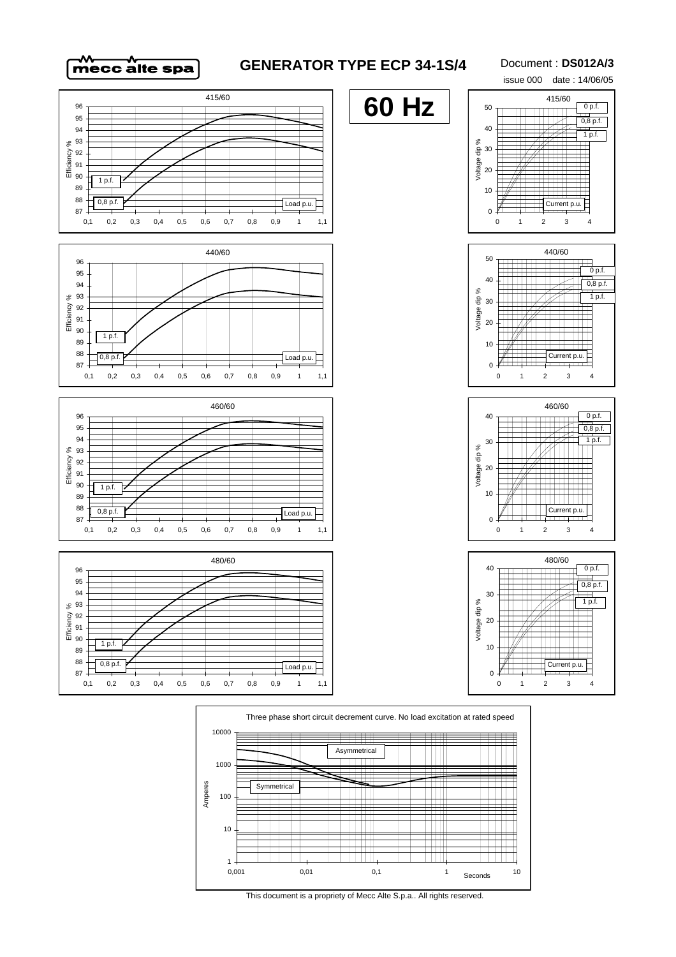

## **GENERATOR TYPE ECP 34-1S/4**

#### Document : **DS012A/3**







This document is a propriety of Mecc Alte S.p.a.. All rights reserved.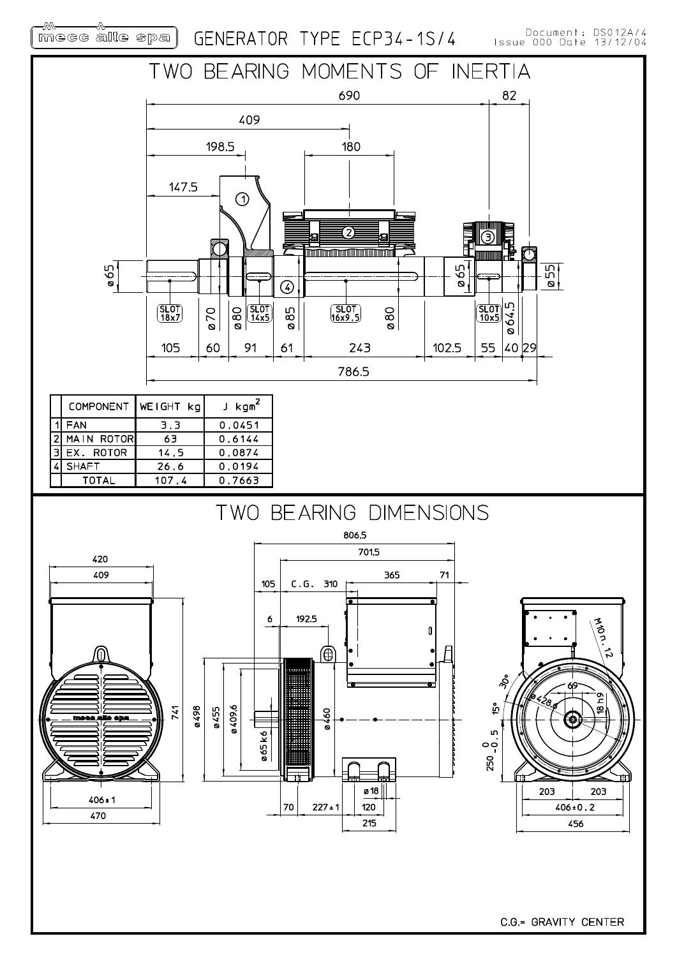